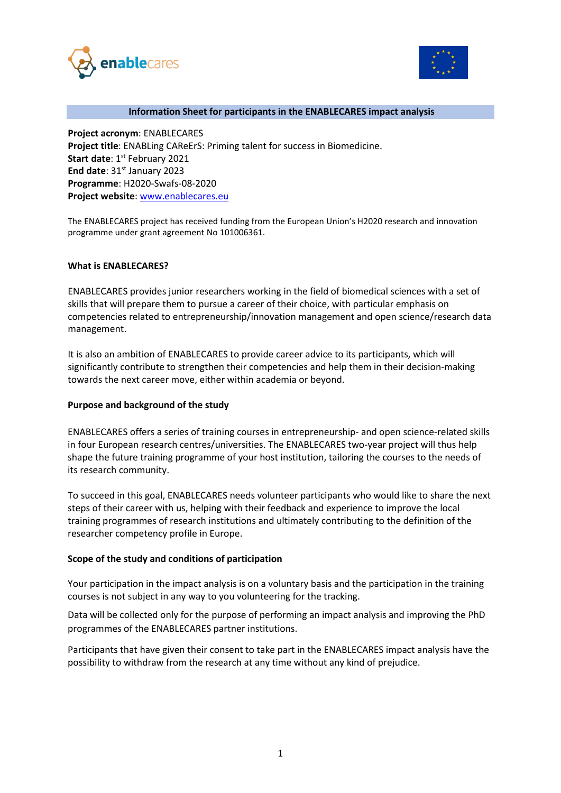



#### **Information Sheet for participants in the ENABLECARES impact analysis**

**Project acronym**: ENABLECARES **Project title**: ENABLing CAReErS: Priming talent for success in Biomedicine. **Start date: 1st February 2021 End date: 31st January 2023 Programme**: H2020-Swafs-08-2020 **Project website**: [www.enablecares.eu](http://www.enablecares.eu/)

The ENABLECARES project has received funding from the European Union's H2020 research and innovation programme under grant agreement No 101006361.

#### **What is ENABLECARES?**

ENABLECARES provides junior researchers working in the field of biomedical sciences with a set of skills that will prepare them to pursue a career of their choice, with particular emphasis on competencies related to entrepreneurship/innovation management and open science/research data management.

It is also an ambition of ENABLECARES to provide career advice to its participants, which will significantly contribute to strengthen their competencies and help them in their decision-making towards the next career move, either within academia or beyond.

#### **Purpose and background of the study**

ENABLECARES offers a series of training courses in entrepreneurship- and open science-related skills in four European research centres/universities. The ENABLECARES two-year project will thus help shape the future training programme of your host institution, tailoring the courses to the needs of its research community.

To succeed in this goal, ENABLECARES needs volunteer participants who would like to share the next steps of their career with us, helping with their feedback and experience to improve the local training programmes of research institutions and ultimately contributing to the definition of the researcher competency profile in Europe.

## **Scope of the study and conditions of participation**

Your participation in the impact analysis is on a voluntary basis and the participation in the training courses is not subject in any way to you volunteering for the tracking.

Data will be collected only for the purpose of performing an impact analysis and improving the PhD programmes of the ENABLECARES partner institutions.

Participants that have given their consent to take part in the ENABLECARES impact analysis have the possibility to withdraw from the research at any time without any kind of prejudice.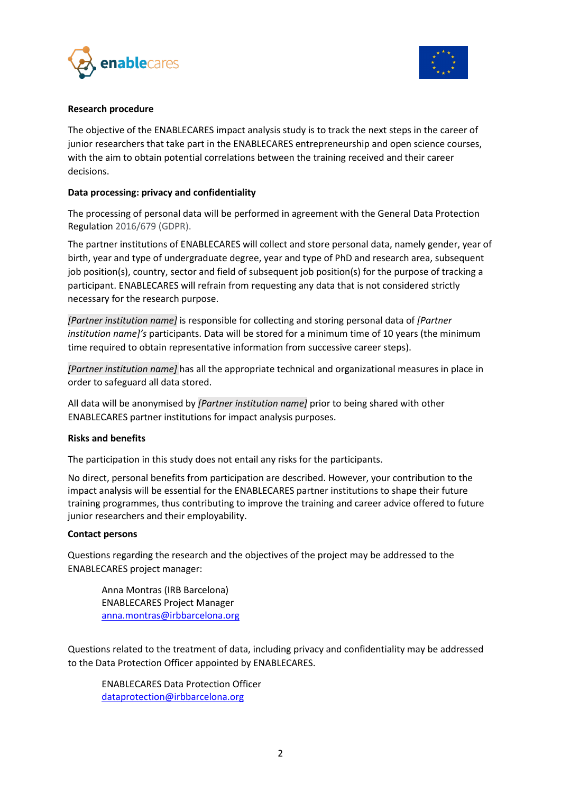



## **Research procedure**

The objective of the ENABLECARES impact analysis study is to track the next steps in the career of junior researchers that take part in the ENABLECARES entrepreneurship and open science courses, with the aim to obtain potential correlations between the training received and their career decisions.

# **Data processing: privacy and confidentiality**

The processing of personal data will be performed in agreement with the General Data Protection Regulation 2016/679 (GDPR).

The partner institutions of ENABLECARES will collect and store personal data, namely gender, year of birth, year and type of undergraduate degree, year and type of PhD and research area, subsequent job position(s), country, sector and field of subsequent job position(s) for the purpose of tracking a participant. ENABLECARES will refrain from requesting any data that is not considered strictly necessary for the research purpose.

*[Partner institution name]* is responsible for collecting and storing personal data of *[Partner institution name]'s* participants. Data will be stored for a minimum time of 10 years (the minimum time required to obtain representative information from successive career steps).

*[Partner institution name]* has all the appropriate technical and organizational measures in place in order to safeguard all data stored.

All data will be anonymised by *[Partner institution name]* prior to being shared with other ENABLECARES partner institutions for impact analysis purposes.

## **Risks and benefits**

The participation in this study does not entail any risks for the participants.

No direct, personal benefits from participation are described. However, your contribution to the impact analysis will be essential for the ENABLECARES partner institutions to shape their future training programmes, thus contributing to improve the training and career advice offered to future junior researchers and their employability.

## **Contact persons**

Questions regarding the research and the objectives of the project may be addressed to the ENABLECARES project manager:

Anna Montras (IRB Barcelona) ENABLECARES Project Manager [anna.montras@irbbarcelona.org](mailto:Clara.caminal@irbbarcelona.org)

Questions related to the treatment of data, including privacy and confidentiality may be addressed to the Data Protection Officer appointed by ENABLECARES.

ENABLECARES Data Protection Officer [dataprotection@irbbarcelona.org](mailto:Bibiana.cervello@irbbarcelona.org)